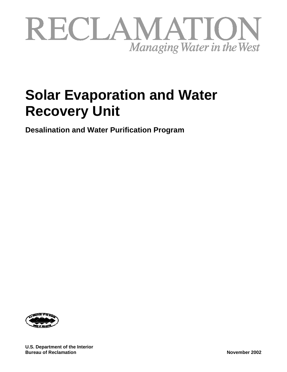

# **Solar Evaporation and Water Recovery Unit**

**Desalination and Water Purification Program**



**U.S. Department of the Interior Bureau of Reclamation November 2002**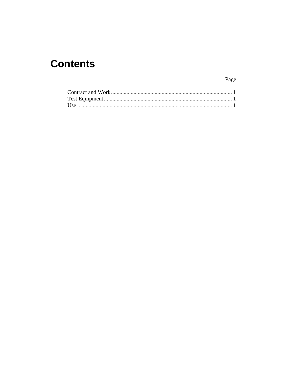# **Contents**

Page